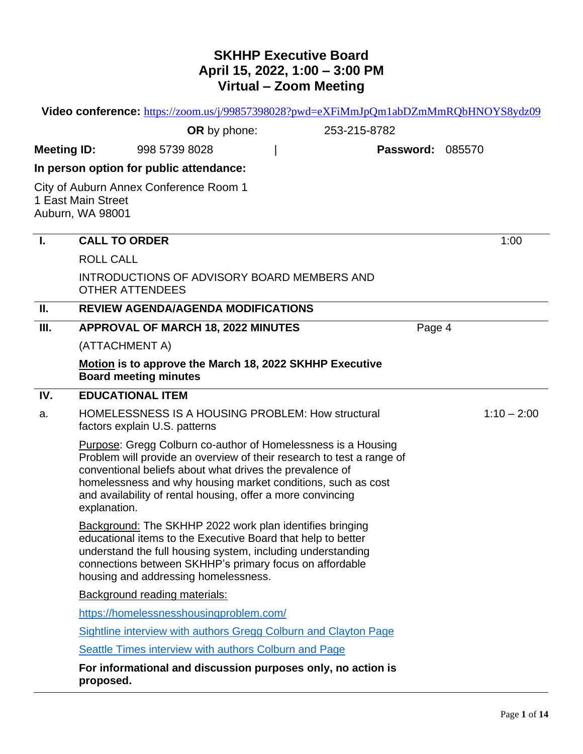# **SKHHP Executive Board April 15, 2022, 1:00 – 3:00 PM Virtual – Zoom Meeting**

|                                         |                                                                                                                                                                                                                                                                                                                                                          | Video conference: https://zoom.us/j/99857398028?pwd=eXFiMmJpQm1abDZmMmRQbHNOYS8ydz09                                                                                                                                                                                                       |  |  |                         |               |
|-----------------------------------------|----------------------------------------------------------------------------------------------------------------------------------------------------------------------------------------------------------------------------------------------------------------------------------------------------------------------------------------------------------|--------------------------------------------------------------------------------------------------------------------------------------------------------------------------------------------------------------------------------------------------------------------------------------------|--|--|-------------------------|---------------|
|                                         |                                                                                                                                                                                                                                                                                                                                                          | OR by phone:                                                                                                                                                                                                                                                                               |  |  | 253-215-8782            |               |
|                                         | <b>Meeting ID:</b>                                                                                                                                                                                                                                                                                                                                       | 998 5739 8028                                                                                                                                                                                                                                                                              |  |  | <b>Password: 085570</b> |               |
| In person option for public attendance: |                                                                                                                                                                                                                                                                                                                                                          |                                                                                                                                                                                                                                                                                            |  |  |                         |               |
|                                         | 1 East Main Street<br>Auburn, WA 98001                                                                                                                                                                                                                                                                                                                   | City of Auburn Annex Conference Room 1                                                                                                                                                                                                                                                     |  |  |                         |               |
|                                         |                                                                                                                                                                                                                                                                                                                                                          | <b>CALL TO ORDER</b>                                                                                                                                                                                                                                                                       |  |  |                         | 1:00          |
|                                         | <b>ROLL CALL</b>                                                                                                                                                                                                                                                                                                                                         |                                                                                                                                                                                                                                                                                            |  |  |                         |               |
|                                         |                                                                                                                                                                                                                                                                                                                                                          | INTRODUCTIONS OF ADVISORY BOARD MEMBERS AND<br><b>OTHER ATTENDEES</b>                                                                                                                                                                                                                      |  |  |                         |               |
|                                         |                                                                                                                                                                                                                                                                                                                                                          | <b>REVIEW AGENDA/AGENDA MODIFICATIONS</b>                                                                                                                                                                                                                                                  |  |  |                         |               |
| Ш.                                      |                                                                                                                                                                                                                                                                                                                                                          | <b>APPROVAL OF MARCH 18, 2022 MINUTES</b>                                                                                                                                                                                                                                                  |  |  | Page 4                  |               |
|                                         |                                                                                                                                                                                                                                                                                                                                                          | (ATTACHMENT A)                                                                                                                                                                                                                                                                             |  |  |                         |               |
|                                         |                                                                                                                                                                                                                                                                                                                                                          | Motion is to approve the March 18, 2022 SKHHP Executive<br><b>Board meeting minutes</b>                                                                                                                                                                                                    |  |  |                         |               |
| IV.                                     |                                                                                                                                                                                                                                                                                                                                                          | <b>EDUCATIONAL ITEM</b>                                                                                                                                                                                                                                                                    |  |  |                         |               |
|                                         |                                                                                                                                                                                                                                                                                                                                                          | <b>HOMELESSNESS IS A HOUSING PROBLEM: How structural</b><br>factors explain U.S. patterns                                                                                                                                                                                                  |  |  |                         | $1:10 - 2:00$ |
|                                         | <b>Purpose: Gregg Colburn co-author of Homelessness is a Housing</b><br>Problem will provide an overview of their research to test a range of<br>conventional beliefs about what drives the prevalence of<br>homelessness and why housing market conditions, such as cost<br>and availability of rental housing, offer a more convincing<br>explanation. |                                                                                                                                                                                                                                                                                            |  |  |                         |               |
|                                         |                                                                                                                                                                                                                                                                                                                                                          | Background: The SKHHP 2022 work plan identifies bringing<br>educational items to the Executive Board that help to better<br>understand the full housing system, including understanding<br>connections between SKHHP's primary focus on affordable<br>housing and addressing homelessness. |  |  |                         |               |
|                                         |                                                                                                                                                                                                                                                                                                                                                          | Background reading materials:                                                                                                                                                                                                                                                              |  |  |                         |               |
|                                         |                                                                                                                                                                                                                                                                                                                                                          | https://homelessnesshousingproblem.com/                                                                                                                                                                                                                                                    |  |  |                         |               |
|                                         |                                                                                                                                                                                                                                                                                                                                                          | Sightline interview with authors Gregg Colburn and Clayton Page                                                                                                                                                                                                                            |  |  |                         |               |
|                                         |                                                                                                                                                                                                                                                                                                                                                          | Seattle Times interview with authors Colburn and Page                                                                                                                                                                                                                                      |  |  |                         |               |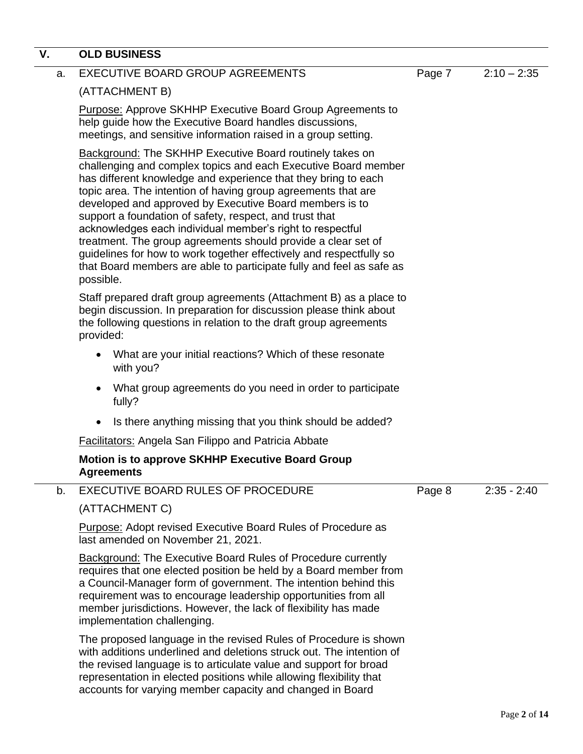#### **V. OLD BUSINESS**

#### a. EXECUTIVE BOARD GROUP AGREEMENTS

#### (ATTACHMENT B)

Purpose: Approve SKHHP Executive Board Group Agreements to help guide how the Executive Board handles discussions, meetings, and sensitive information raised in a group setting.

Background: The SKHHP Executive Board routinely takes on challenging and complex topics and each Executive Board member has different knowledge and experience that they bring to each topic area. The intention of having group agreements that are developed and approved by Executive Board members is to support a foundation of safety, respect, and trust that acknowledges each individual member's right to respectful treatment. The group agreements should provide a clear set of guidelines for how to work together effectively and respectfully so that Board members are able to participate fully and feel as safe as possible.

Staff prepared draft group agreements (Attachment B) as a place to begin discussion. In preparation for discussion please think about the following questions in relation to the draft group agreements provided:

- What are your initial reactions? Which of these resonate with you?
- What group agreements do you need in order to participate fully?
- Is there anything missing that you think should be added?

Facilitators: Angela San Filippo and Patricia Abbate

#### **Motion is to approve SKHHP Executive Board Group Agreements**

b. EXECUTIVE BOARD RULES OF PROCEDURE

Page 8 2:35 - 2:40

#### (ATTACHMENT C)

Purpose: Adopt revised Executive Board Rules of Procedure as last amended on November 21, 2021.

**Background: The Executive Board Rules of Procedure currently** requires that one elected position be held by a Board member from a Council-Manager form of government. The intention behind this requirement was to encourage leadership opportunities from all member jurisdictions. However, the lack of flexibility has made implementation challenging.

The proposed language in the revised Rules of Procedure is shown with additions underlined and deletions struck out. The intention of the revised language is to articulate value and support for broad representation in elected positions while allowing flexibility that accounts for varying member capacity and changed in Board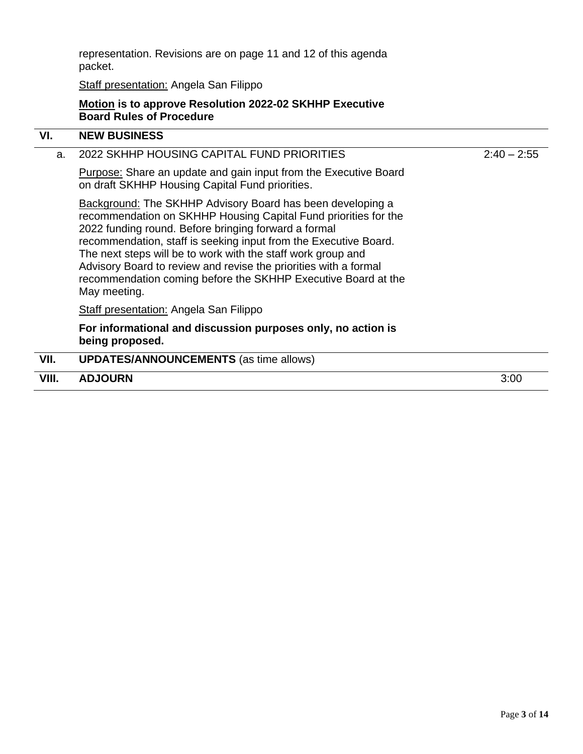representation. Revisions are on page 11 and 12 of this agenda packet.

Staff presentation: Angela San Filippo

#### **Motion is to approve Resolution 2022-02 SKHHP Executive Board Rules of Procedure**

#### **VI. NEW BUSINESS**

| VIII. | <b>ADJOURN</b>                                                                                                                                                                                                                                                                                                                                                                                                                                                                        | 3:00          |
|-------|---------------------------------------------------------------------------------------------------------------------------------------------------------------------------------------------------------------------------------------------------------------------------------------------------------------------------------------------------------------------------------------------------------------------------------------------------------------------------------------|---------------|
| VII.  | <b>UPDATES/ANNOUNCEMENTS (as time allows)</b>                                                                                                                                                                                                                                                                                                                                                                                                                                         |               |
|       | For informational and discussion purposes only, no action is<br>being proposed.                                                                                                                                                                                                                                                                                                                                                                                                       |               |
|       | <b>Staff presentation: Angela San Filippo</b>                                                                                                                                                                                                                                                                                                                                                                                                                                         |               |
|       | <b>Background:</b> The SKHHP Advisory Board has been developing a<br>recommendation on SKHHP Housing Capital Fund priorities for the<br>2022 funding round. Before bringing forward a formal<br>recommendation, staff is seeking input from the Executive Board.<br>The next steps will be to work with the staff work group and<br>Advisory Board to review and revise the priorities with a formal<br>recommendation coming before the SKHHP Executive Board at the<br>May meeting. |               |
|       | Purpose: Share an update and gain input from the Executive Board<br>on draft SKHHP Housing Capital Fund priorities.                                                                                                                                                                                                                                                                                                                                                                   |               |
| a.    | 2022 SKHHP HOUSING CAPITAL FUND PRIORITIES                                                                                                                                                                                                                                                                                                                                                                                                                                            | $2:40 - 2:55$ |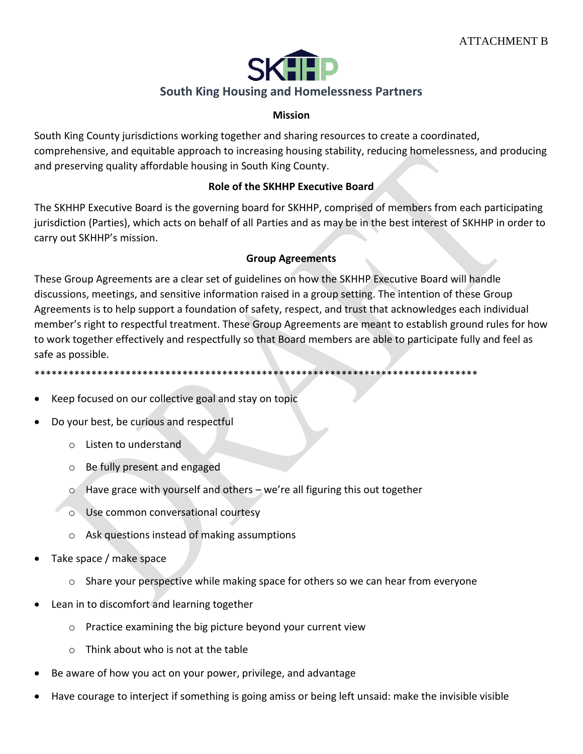

### **South King Housing and Homelessness Partners**

#### **Mission**

South King County jurisdictions working together and sharing resources to create a coordinated, comprehensive, and equitable approach to increasing housing stability, reducing homelessness, and producing and preserving quality affordable housing in South King County.

#### **Role of the SKHHP Executive Board**

The SKHHP Executive Board is the governing board for SKHHP, comprised of members from each participating jurisdiction (Parties), which acts on behalf of all Parties and as may be in the best interest of SKHHP in order to carry out SKHHP's mission.

#### **Group Agreements**

These Group Agreements are a clear set of guidelines on how the SKHHP Executive Board will handle discussions, meetings, and sensitive information raised in a group setting. The intention of these Group Agreements is to help support a foundation of safety, respect, and trust that acknowledges each individual member's right to respectful treatment. These Group Agreements are meant to establish ground rules for how to work together effectively and respectfully so that Board members are able to participate fully and feel as safe as possible.

#### \*\*\*\*\*\*\*\*\*\*\*\*\*\*\*\*\*\*\*\*\*\*\*\*\*\*\*\*\*\*\*\*\*\*\*\*\*\*\*\*\*\*\*\*\*\*\*\*\*\*\*\*\*\*\*\*\*\*\*\*\*\*\*\*\*\*\*\*\*\*\*\*\*\*\*\*\*\*

- Keep focused on our collective goal and stay on topic
- Do your best, be curious and respectful
	- o Listen to understand
	- o Be fully present and engaged
	- o Have grace with yourself and others we're all figuring this out together
	- o Use common conversational courtesy
	- o Ask questions instead of making assumptions
- Take space / make space
	- o Share your perspective while making space for others so we can hear from everyone
- Lean in to discomfort and learning together
	- o Practice examining the big picture beyond your current view
	- o Think about who is not at the table
- Be aware of how you act on your power, privilege, and advantage
- Have courage to interject if something is going amiss or being left unsaid: make the invisible visible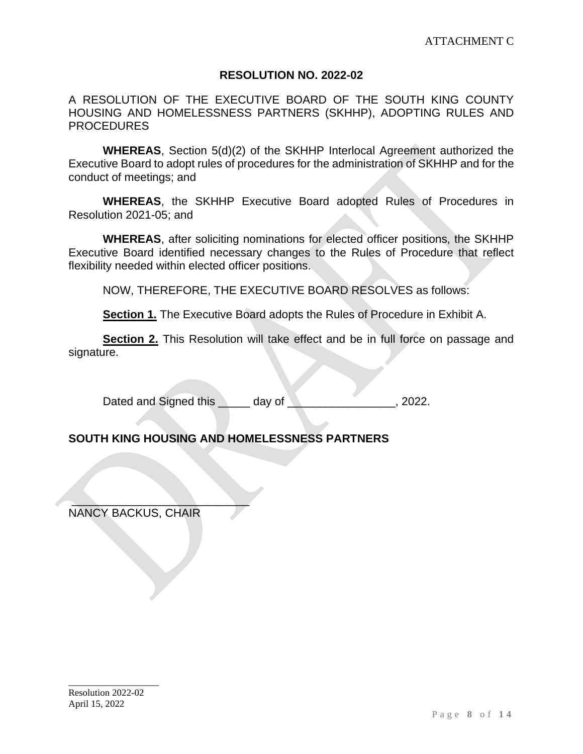#### **RESOLUTION NO. 2022-02**

A RESOLUTION OF THE EXECUTIVE BOARD OF THE SOUTH KING COUNTY HOUSING AND HOMELESSNESS PARTNERS (SKHHP), ADOPTING RULES AND PROCEDURES

**WHEREAS**, Section 5(d)(2) of the SKHHP Interlocal Agreement authorized the Executive Board to adopt rules of procedures for the administration of SKHHP and for the conduct of meetings; and

**WHEREAS**, the SKHHP Executive Board adopted Rules of Procedures in Resolution 2021-05; and

**WHEREAS**, after soliciting nominations for elected officer positions, the SKHHP Executive Board identified necessary changes to the Rules of Procedure that reflect flexibility needed within elected officer positions.

NOW, THEREFORE, THE EXECUTIVE BOARD RESOLVES as follows:

**Section 1.** The Executive Board adopts the Rules of Procedure in Exhibit A.

**Section 2.** This Resolution will take effect and be in full force on passage and signature.

Dated and Signed this equal day of equal to the 2022.

### **SOUTH KING HOUSING AND HOMELESSNESS PARTNERS**

 $\overline{\phantom{a}}$  ,  $\overline{\phantom{a}}$  ,  $\overline{\phantom{a}}$  ,  $\overline{\phantom{a}}$  ,  $\overline{\phantom{a}}$  ,  $\overline{\phantom{a}}$  ,  $\overline{\phantom{a}}$  ,  $\overline{\phantom{a}}$  ,  $\overline{\phantom{a}}$  ,  $\overline{\phantom{a}}$  ,  $\overline{\phantom{a}}$  ,  $\overline{\phantom{a}}$  ,  $\overline{\phantom{a}}$  ,  $\overline{\phantom{a}}$  ,  $\overline{\phantom{a}}$  ,  $\overline{\phantom{a}}$ NANCY BACKUS, CHAIR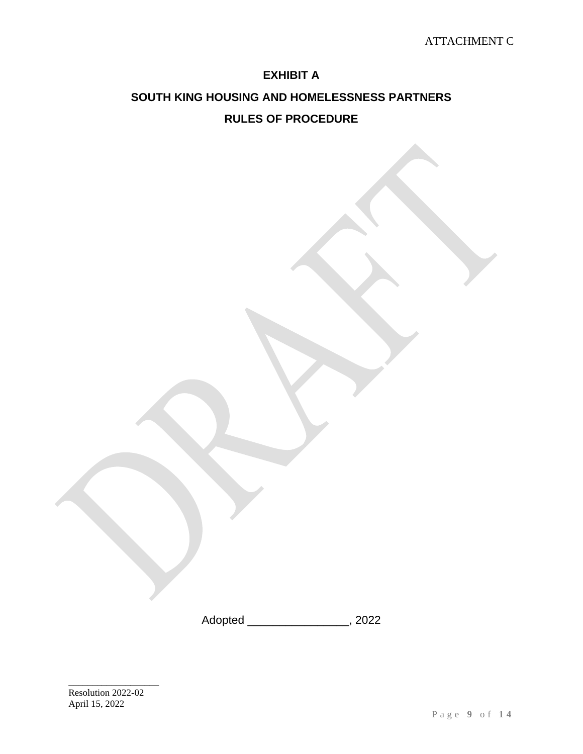## **EXHIBIT A**

# **SOUTH KING HOUSING AND HOMELESSNESS PARTNERS RULES OF PROCEDURE**

Adopted \_\_\_\_\_\_\_\_\_\_\_\_\_\_\_\_, 2022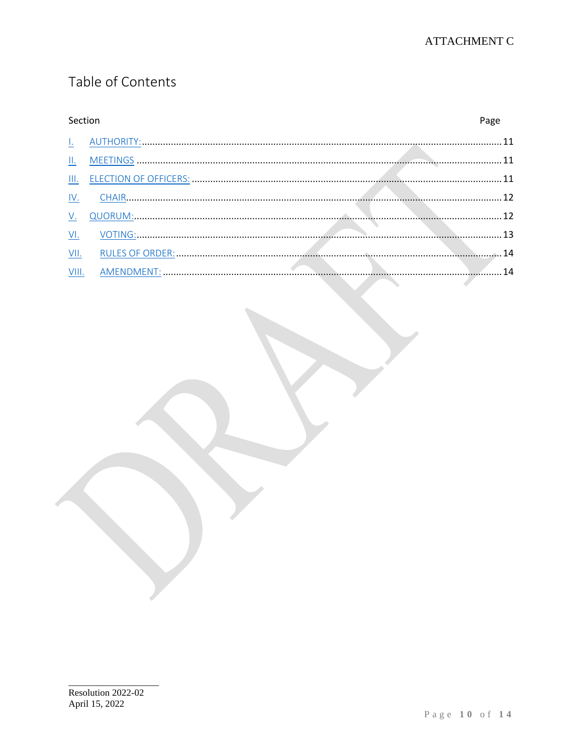# Table of Contents

| Section |  |  |  |  |  |
|---------|--|--|--|--|--|
|         |  |  |  |  |  |
|         |  |  |  |  |  |
|         |  |  |  |  |  |
|         |  |  |  |  |  |
|         |  |  |  |  |  |
|         |  |  |  |  |  |
|         |  |  |  |  |  |
|         |  |  |  |  |  |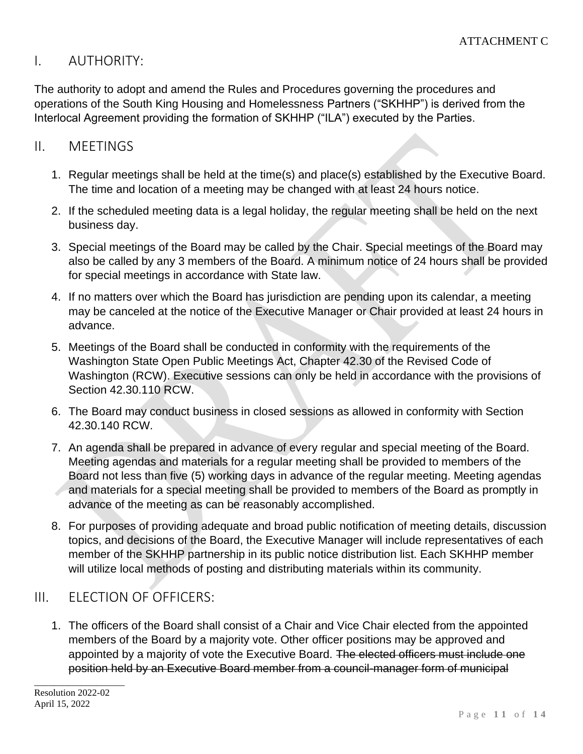# <span id="page-7-0"></span>I. AUTHORITY:

The authority to adopt and amend the Rules and Procedures governing the procedures and operations of the South King Housing and Homelessness Partners ("SKHHP") is derived from the Interlocal Agreement providing the formation of SKHHP ("ILA") executed by the Parties.

### <span id="page-7-1"></span>II. MEETINGS

- 1. Regular meetings shall be held at the time(s) and place(s) established by the Executive Board. The time and location of a meeting may be changed with at least 24 hours notice.
- 2. If the scheduled meeting data is a legal holiday, the regular meeting shall be held on the next business day.
- 3. Special meetings of the Board may be called by the Chair. Special meetings of the Board may also be called by any 3 members of the Board. A minimum notice of 24 hours shall be provided for special meetings in accordance with State law.
- 4. If no matters over which the Board has jurisdiction are pending upon its calendar, a meeting may be canceled at the notice of the Executive Manager or Chair provided at least 24 hours in advance.
- 5. Meetings of the Board shall be conducted in conformity with the requirements of the Washington State Open Public Meetings Act, Chapter 42.30 of the Revised Code of Washington (RCW). Executive sessions can only be held in accordance with the provisions of Section 42.30.110 RCW.
- 6. The Board may conduct business in closed sessions as allowed in conformity with Section 42.30.140 RCW.
- 7. An agenda shall be prepared in advance of every regular and special meeting of the Board. Meeting agendas and materials for a regular meeting shall be provided to members of the Board not less than five (5) working days in advance of the regular meeting. Meeting agendas and materials for a special meeting shall be provided to members of the Board as promptly in advance of the meeting as can be reasonably accomplished.
- 8. For purposes of providing adequate and broad public notification of meeting details, discussion topics, and decisions of the Board, the Executive Manager will include representatives of each member of the SKHHP partnership in its public notice distribution list. Each SKHHP member will utilize local methods of posting and distributing materials within its community.

# <span id="page-7-2"></span>III. ELECTION OF OFFICERS:

1. The officers of the Board shall consist of a Chair and Vice Chair elected from the appointed members of the Board by a majority vote. Other officer positions may be approved and appointed by a majority of vote the Executive Board. The elected officers must include one position held by an Executive Board member from a council-manager form of municipal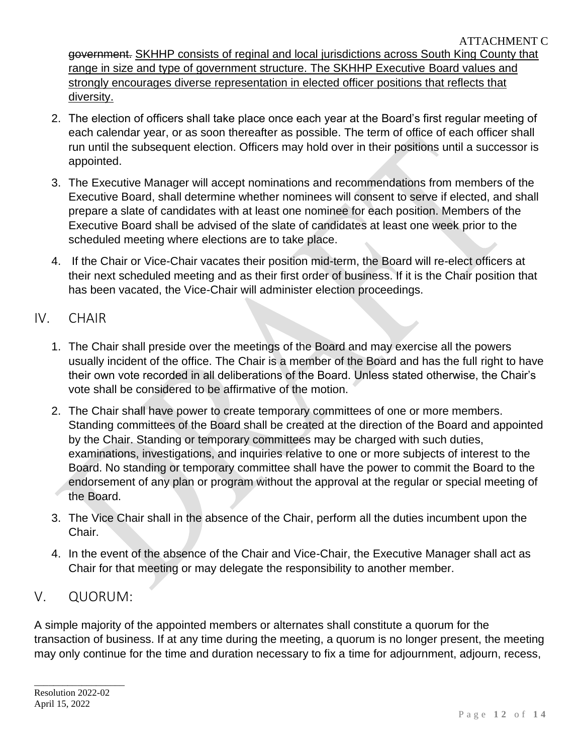government. SKHHP consists of reginal and local jurisdictions across South King County that range in size and type of government structure. The SKHHP Executive Board values and strongly encourages diverse representation in elected officer positions that reflects that diversity.

- 2. The election of officers shall take place once each year at the Board's first regular meeting of each calendar year, or as soon thereafter as possible. The term of office of each officer shall run until the subsequent election. Officers may hold over in their positions until a successor is appointed.
- 3. The Executive Manager will accept nominations and recommendations from members of the Executive Board, shall determine whether nominees will consent to serve if elected, and shall prepare a slate of candidates with at least one nominee for each position. Members of the Executive Board shall be advised of the slate of candidates at least one week prior to the scheduled meeting where elections are to take place.
- 4. If the Chair or Vice-Chair vacates their position mid-term, the Board will re-elect officers at their next scheduled meeting and as their first order of business. If it is the Chair position that has been vacated, the Vice-Chair will administer election proceedings.

# <span id="page-8-0"></span>IV. CHAIR

- 1. The Chair shall preside over the meetings of the Board and may exercise all the powers usually incident of the office. The Chair is a member of the Board and has the full right to have their own vote recorded in all deliberations of the Board. Unless stated otherwise, the Chair's vote shall be considered to be affirmative of the motion.
- 2. The Chair shall have power to create temporary committees of one or more members. Standing committees of the Board shall be created at the direction of the Board and appointed by the Chair. Standing or temporary committees may be charged with such duties, examinations, investigations, and inquiries relative to one or more subjects of interest to the Board. No standing or temporary committee shall have the power to commit the Board to the endorsement of any plan or program without the approval at the regular or special meeting of the Board.
- 3. The Vice Chair shall in the absence of the Chair, perform all the duties incumbent upon the Chair.
- 4. In the event of the absence of the Chair and Vice-Chair, the Executive Manager shall act as Chair for that meeting or may delegate the responsibility to another member.

# <span id="page-8-1"></span>V. QUORUM:

A simple majority of the appointed members or alternates shall constitute a quorum for the transaction of business. If at any time during the meeting, a quorum is no longer present, the meeting may only continue for the time and duration necessary to fix a time for adjournment, adjourn, recess,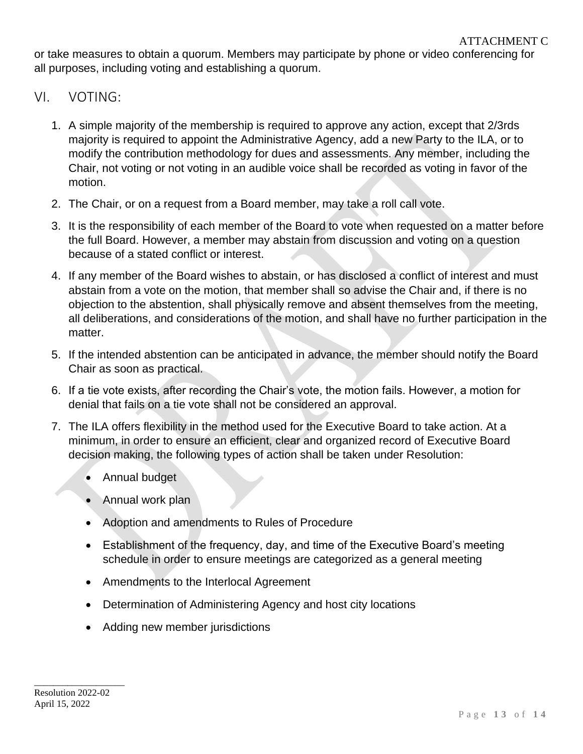or take measures to obtain a quorum. Members may participate by phone or video conferencing for all purposes, including voting and establishing a quorum.

<span id="page-9-0"></span>VI. VOTING:

- 1. A simple majority of the membership is required to approve any action, except that 2/3rds majority is required to appoint the Administrative Agency, add a new Party to the ILA, or to modify the contribution methodology for dues and assessments. Any member, including the Chair, not voting or not voting in an audible voice shall be recorded as voting in favor of the motion.
- 2. The Chair, or on a request from a Board member, may take a roll call vote.
- 3. It is the responsibility of each member of the Board to vote when requested on a matter before the full Board. However, a member may abstain from discussion and voting on a question because of a stated conflict or interest.
- 4. If any member of the Board wishes to abstain, or has disclosed a conflict of interest and must abstain from a vote on the motion, that member shall so advise the Chair and, if there is no objection to the abstention, shall physically remove and absent themselves from the meeting, all deliberations, and considerations of the motion, and shall have no further participation in the matter.
- 5. If the intended abstention can be anticipated in advance, the member should notify the Board Chair as soon as practical.
- 6. If a tie vote exists, after recording the Chair's vote, the motion fails. However, a motion for denial that fails on a tie vote shall not be considered an approval.
- 7. The ILA offers flexibility in the method used for the Executive Board to take action. At a minimum, in order to ensure an efficient, clear and organized record of Executive Board decision making, the following types of action shall be taken under Resolution:
	- Annual budget
	- Annual work plan
	- Adoption and amendments to Rules of Procedure
	- Establishment of the frequency, day, and time of the Executive Board's meeting schedule in order to ensure meetings are categorized as a general meeting
	- Amendments to the Interlocal Agreement
	- Determination of Administering Agency and host city locations
	- Adding new member jurisdictions